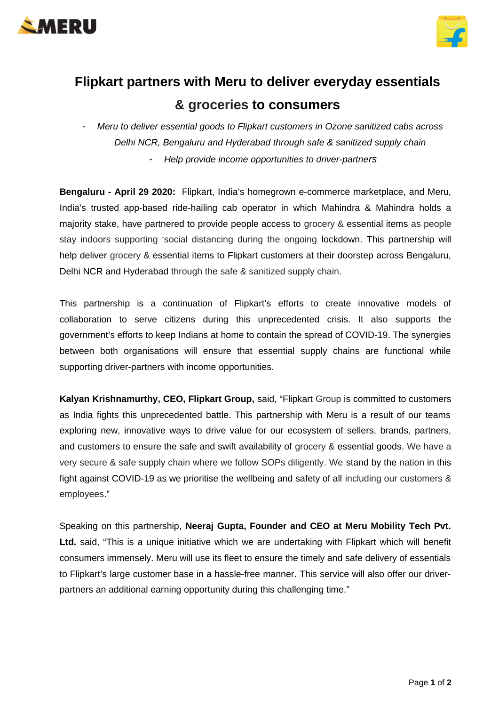



## **Flipkart partners with Meru to deliver everyday essentials & groceries to consumers**

*- Meru to deliver essential goods to Flipkart customers in Ozone sanitized cabs across Delhi NCR, Bengaluru and Hyderabad through safe & sanitized supply chain*

*- Help provide income opportunities to driver-partners* 

**Bengaluru - April 29 2020:** Flipkart, India's homegrown e-commerce marketplace, and Meru, India's trusted app-based ride-hailing cab operator in which Mahindra & Mahindra holds a majority stake, have partnered to provide people access to grocery & essential items as people stay indoors supporting 'social distancing during the ongoing lockdown. This partnership will help deliver grocery & essential items to Flipkart customers at their doorstep across Bengaluru, Delhi NCR and Hyderabad through the safe & sanitized supply chain.

This partnership is a continuation of Flipkart's efforts to create innovative models of collaboration to serve citizens during this unprecedented crisis. It also supports the government's efforts to keep Indians at home to contain the spread of COVID-19. The synergies between both organisations will ensure that essential supply chains are functional while supporting driver-partners with income opportunities.

**Kalyan Krishnamurthy, CEO, Flipkart Group,** said, "Flipkart Group is committed to customers as India fights this unprecedented battle. This partnership with Meru is a result of our teams exploring new, innovative ways to drive value for our ecosystem of sellers, brands, partners, and customers to ensure the safe and swift availability of grocery & essential goods. We have a very secure & safe supply chain where we follow SOPs diligently. We stand by the nation in this fight against COVID-19 as we prioritise the wellbeing and safety of all including our customers & employees."

Speaking on this partnership, **Neeraj Gupta, Founder and CEO at Meru Mobility Tech Pvt.** Ltd. said, "This is a unique initiative which we are undertaking with Flipkart which will benefit consumers immensely. Meru will use its fleet to ensure the timely and safe delivery of essentials to Flipkart's large customer base in a hassle-free manner. This service will also offer our driverpartners an additional earning opportunity during this challenging time."